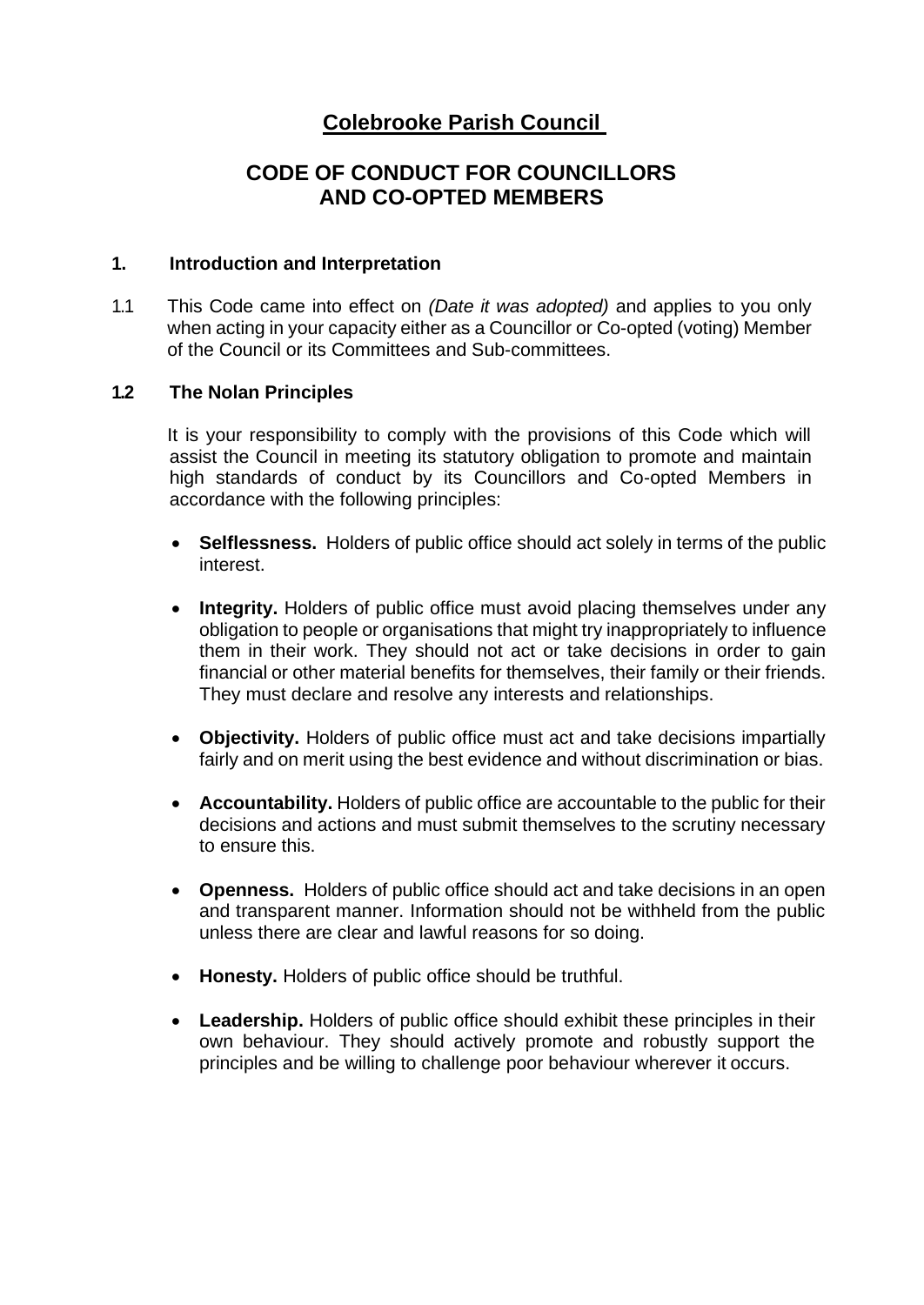# **Colebrooke Parish Council**

# **CODE OF CONDUCT FOR COUNCILLORS AND CO-OPTED MEMBERS**

#### **1. Introduction and Interpretation**

1.1 This Code came into effect on *(Date it was adopted)* and applies to you only when acting in your capacity either as a Councillor or Co-opted (voting) Member of the Council or its Committees and Sub-committees.

#### **1.2 The Nolan Principles**

It is your responsibility to comply with the provisions of this Code which will assist the Council in meeting its statutory obligation to promote and maintain high standards of conduct by its Councillors and Co-opted Members in accordance with the following principles:

- **Selflessness.** Holders of public office should act solely in terms of the public interest.
- **Integrity.** Holders of public office must avoid placing themselves under any obligation to people or organisations that might try inappropriately to influence them in their work. They should not act or take decisions in order to gain financial or other material benefits for themselves, their family or their friends. They must declare and resolve any interests and relationships.
- **Objectivity.** Holders of public office must act and take decisions impartially fairly and on merit using the best evidence and without discrimination or bias.
- **Accountability.** Holders of public office are accountable to the public for their decisions and actions and must submit themselves to the scrutiny necessary to ensure this.
- **Openness.** Holders of public office should act and take decisions in an open and transparent manner. Information should not be withheld from the public unless there are clear and lawful reasons for so doing.
- **Honesty.** Holders of public office should be truthful.
- **Leadership.** Holders of public office should exhibit these principles in their own behaviour. They should actively promote and robustly support the principles and be willing to challenge poor behaviour wherever it occurs.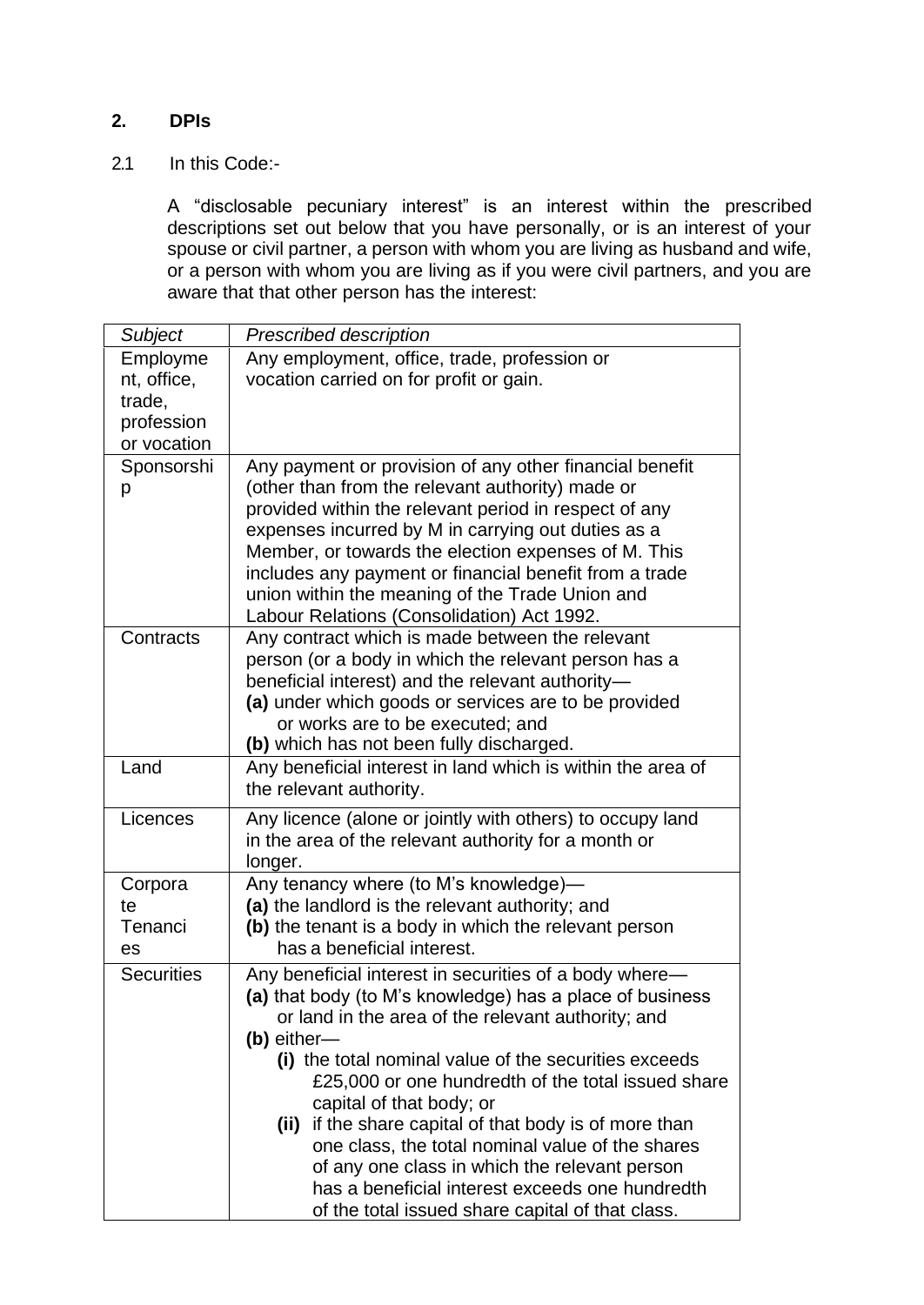## **2. DPIs**

#### 2.1 In this Code:-

A "disclosable pecuniary interest" is an interest within the prescribed descriptions set out below that you have personally, or is an interest of your spouse or civil partner, a person with whom you are living as husband and wife, or a person with whom you are living as if you were civil partners, and you are aware that that other person has the interest:

| Subject           | <b>Prescribed description</b>                               |
|-------------------|-------------------------------------------------------------|
| Employme          | Any employment, office, trade, profession or                |
| nt, office,       | vocation carried on for profit or gain.                     |
| trade,            |                                                             |
| profession        |                                                             |
| or vocation       |                                                             |
| Sponsorshi        | Any payment or provision of any other financial benefit     |
| р                 | (other than from the relevant authority) made or            |
|                   | provided within the relevant period in respect of any       |
|                   | expenses incurred by M in carrying out duties as a          |
|                   | Member, or towards the election expenses of M. This         |
|                   | includes any payment or financial benefit from a trade      |
|                   | union within the meaning of the Trade Union and             |
|                   | Labour Relations (Consolidation) Act 1992.                  |
| Contracts         | Any contract which is made between the relevant             |
|                   | person (or a body in which the relevant person has a        |
|                   | beneficial interest) and the relevant authority-            |
|                   | (a) under which goods or services are to be provided        |
|                   | or works are to be executed; and                            |
|                   | (b) which has not been fully discharged.                    |
| Land              | Any beneficial interest in land which is within the area of |
|                   | the relevant authority.                                     |
| Licences          | Any licence (alone or jointly with others) to occupy land   |
|                   | in the area of the relevant authority for a month or        |
|                   | longer.                                                     |
| Corpora           | Any tenancy where (to M's knowledge)-                       |
| te                | (a) the landlord is the relevant authority; and             |
| Tenanci           | (b) the tenant is a body in which the relevant person       |
| es                | has a beneficial interest.                                  |
| <b>Securities</b> | Any beneficial interest in securities of a body where-      |
|                   | (a) that body (to M's knowledge) has a place of business    |
|                   | or land in the area of the relevant authority; and          |
|                   | $(b)$ either—                                               |
|                   | (i) the total nominal value of the securities exceeds       |
|                   | £25,000 or one hundredth of the total issued share          |
|                   | capital of that body; or                                    |
|                   | if the share capital of that body is of more than<br>(ii)   |
|                   | one class, the total nominal value of the shares            |
|                   | of any one class in which the relevant person               |
|                   | has a beneficial interest exceeds one hundredth             |
|                   | of the total issued share capital of that class.            |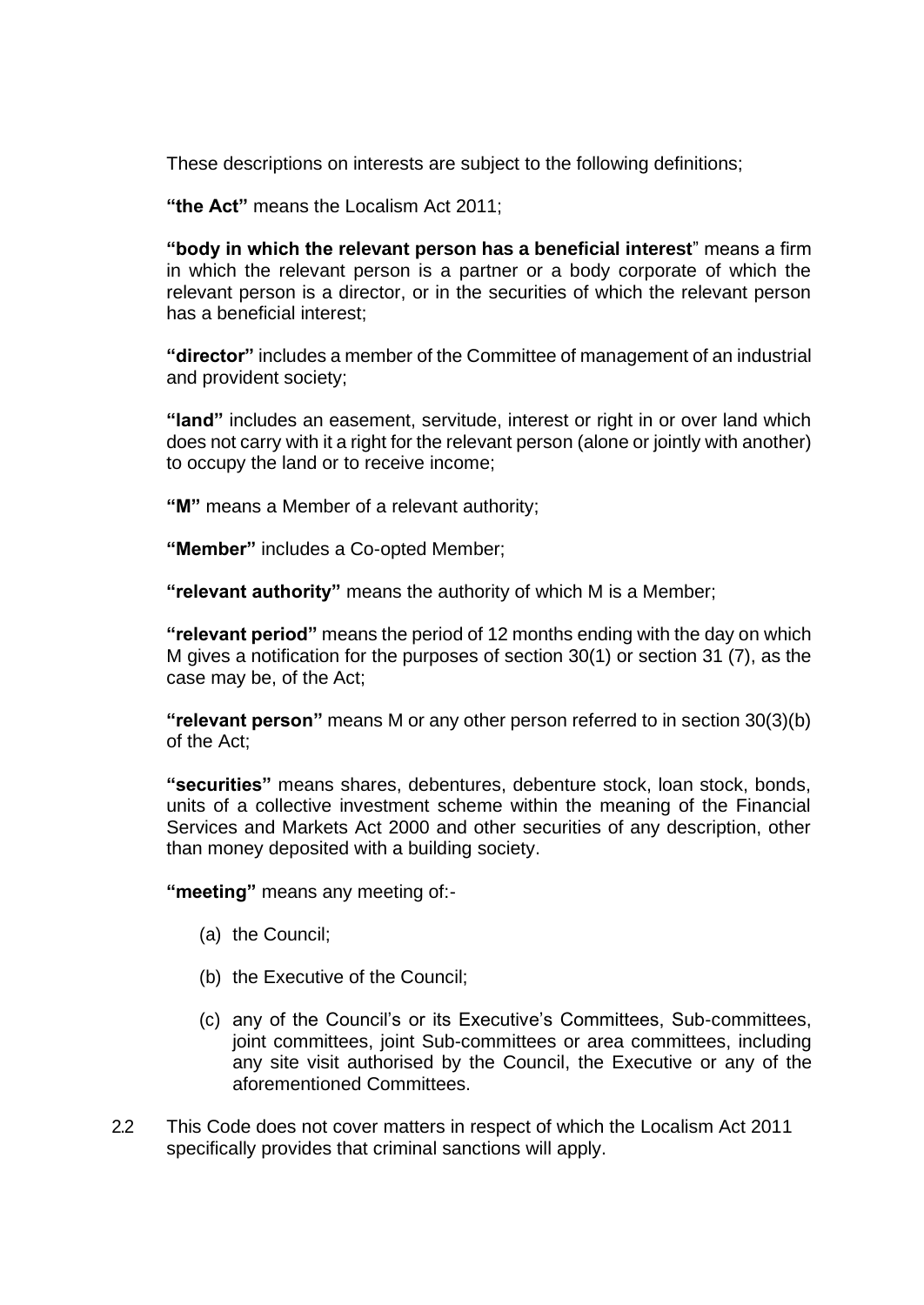These descriptions on interests are subject to the following definitions;

**"the Act"** means the Localism Act 2011;

**"body in which the relevant person has a beneficial interest**" means a firm in which the relevant person is a partner or a body corporate of which the relevant person is a director, or in the securities of which the relevant person has a beneficial interest;

**"director"** includes a member of the Committee of management of an industrial and provident society;

**"land"** includes an easement, servitude, interest or right in or over land which does not carry with it a right for the relevant person (alone or jointly with another) to occupy the land or to receive income;

**"M"** means a Member of a relevant authority;

**"Member"** includes a Co-opted Member;

**"relevant authority"** means the authority of which M is a Member;

**"relevant period"** means the period of 12 months ending with the day on which M gives a notification for the purposes of section 30(1) or section 31 (7), as the case may be, of the Act;

**"relevant person"** means M or any other person referred to in section 30(3)(b) of the Act;

**"securities"** means shares, debentures, debenture stock, loan stock, bonds, units of a collective investment scheme within the meaning of the Financial Services and Markets Act 2000 and other securities of any description, other than money deposited with a building society.

**"meeting"** means any meeting of:-

- (a) the Council;
- (b) the Executive of the Council;
- (c) any of the Council's or its Executive's Committees, Sub-committees, joint committees, joint Sub-committees or area committees, including any site visit authorised by the Council, the Executive or any of the aforementioned Committees.
- 2.2 This Code does not cover matters in respect of which the Localism Act 2011 specifically provides that criminal sanctions will apply.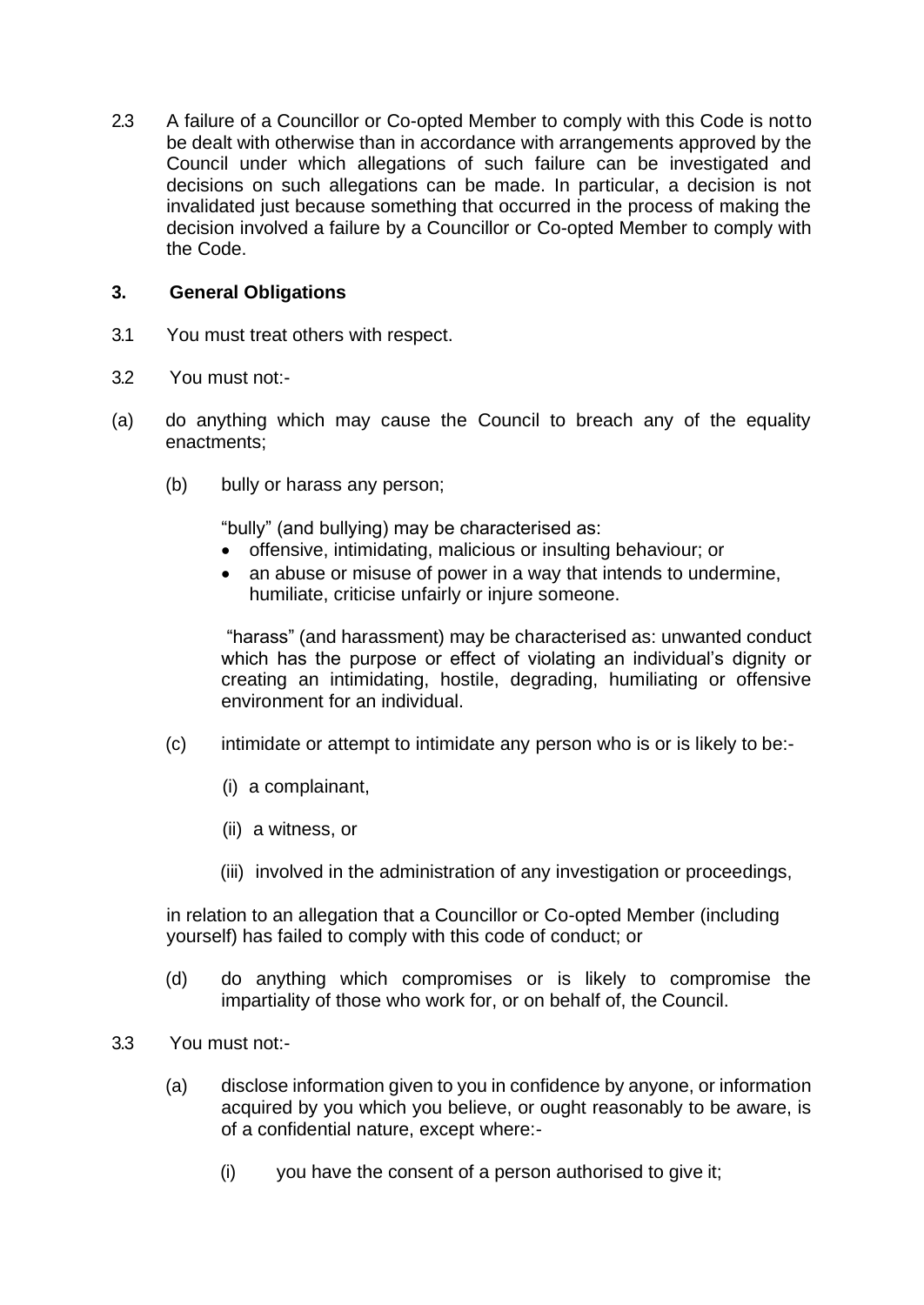2.3 A failure of a Councillor or Co-opted Member to comply with this Code is notto be dealt with otherwise than in accordance with arrangements approved by the Council under which allegations of such failure can be investigated and decisions on such allegations can be made. In particular, a decision is not invalidated just because something that occurred in the process of making the decision involved a failure by a Councillor or Co-opted Member to comply with the Code.

### **3. General Obligations**

- 3.1 You must treat others with respect.
- 3.2 You must not:-
- (a) do anything which may cause the Council to breach any of the equality enactments;
	- (b) bully or harass any person;

"bully" (and bullying) may be characterised as:

- offensive, intimidating, malicious or insulting behaviour; or
- an abuse or misuse of power in a way that intends to undermine, humiliate, criticise unfairly or injure someone.

"harass" (and harassment) may be characterised as: unwanted conduct which has the purpose or effect of violating an individual's dignity or creating an intimidating, hostile, degrading, humiliating or offensive environment for an individual.

- (c) intimidate or attempt to intimidate any person who is or is likely to be:-
	- (i) a complainant,
	- (ii) a witness, or
	- (iii) involved in the administration of any investigation or proceedings,

in relation to an allegation that a Councillor or Co-opted Member (including yourself) has failed to comply with this code of conduct; or

- (d) do anything which compromises or is likely to compromise the impartiality of those who work for, or on behalf of, the Council.
- 3.3 You must not:-
	- (a) disclose information given to you in confidence by anyone, or information acquired by you which you believe, or ought reasonably to be aware, is of a confidential nature, except where:-
		- (i) you have the consent of a person authorised to give it;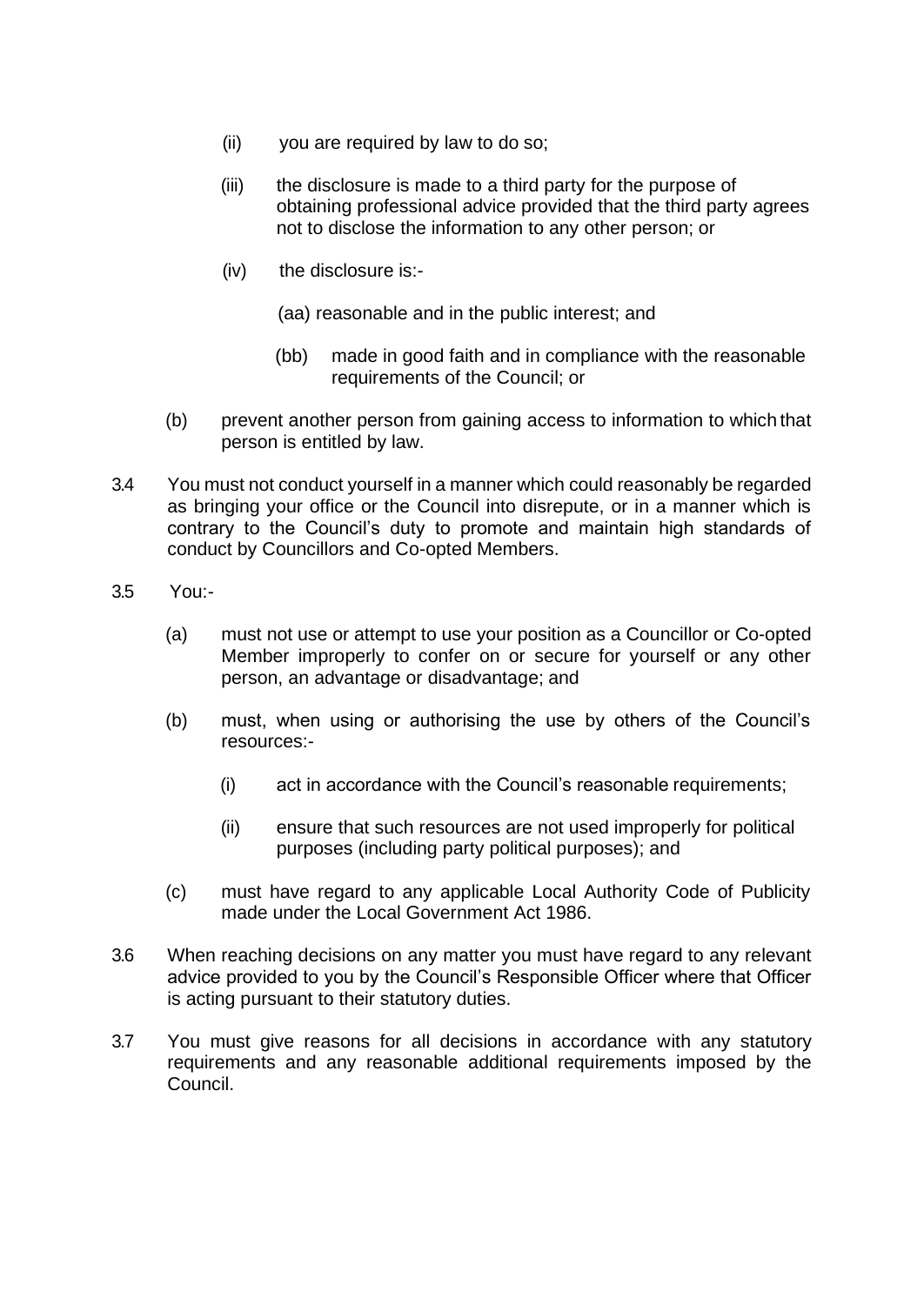- (ii) you are required by law to do so;
- (iii) the disclosure is made to a third party for the purpose of obtaining professional advice provided that the third party agrees not to disclose the information to any other person; or
- (iv) the disclosure is:-
	- (aa) reasonable and in the public interest; and
	- (bb) made in good faith and in compliance with the reasonable requirements of the Council; or
- (b) prevent another person from gaining access to information to which that person is entitled by law.
- 3.4 You must not conduct yourself in a manner which could reasonably be regarded as bringing your office or the Council into disrepute, or in a manner which is contrary to the Council's duty to promote and maintain high standards of conduct by Councillors and Co-opted Members.
- 3.5 You:-
	- (a) must not use or attempt to use your position as a Councillor or Co-opted Member improperly to confer on or secure for yourself or any other person, an advantage or disadvantage; and
	- (b) must, when using or authorising the use by others of the Council's resources:-
		- (i) act in accordance with the Council's reasonable requirements;
		- (ii) ensure that such resources are not used improperly for political purposes (including party political purposes); and
	- (c) must have regard to any applicable Local Authority Code of Publicity made under the Local Government Act 1986.
- 3.6 When reaching decisions on any matter you must have regard to any relevant advice provided to you by the Council's Responsible Officer where that Officer is acting pursuant to their statutory duties.
- 3.7 You must give reasons for all decisions in accordance with any statutory requirements and any reasonable additional requirements imposed by the Council.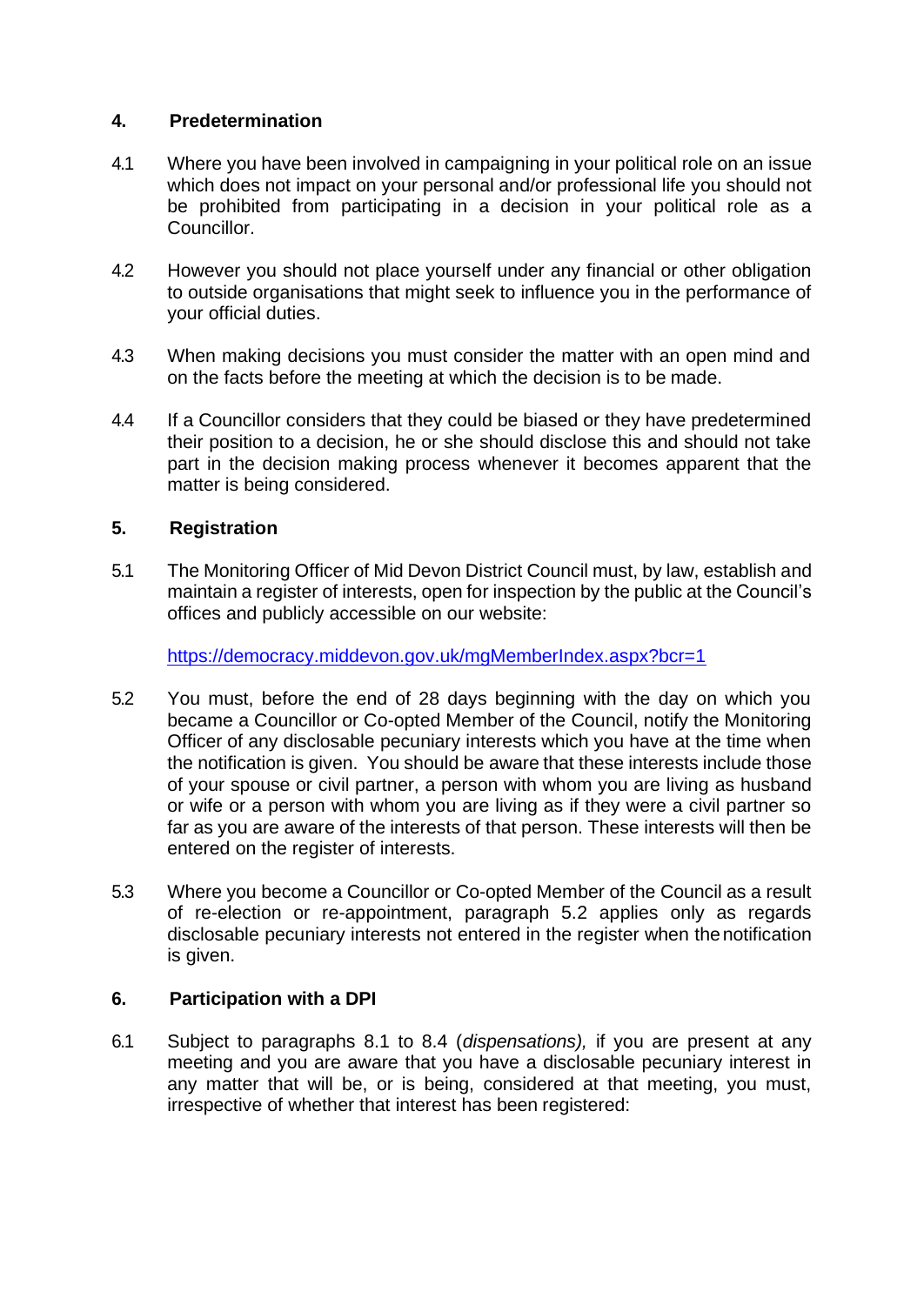#### **4. Predetermination**

- 4.1 Where you have been involved in campaigning in your political role on an issue which does not impact on your personal and/or professional life you should not be prohibited from participating in a decision in your political role as a Councillor.
- 4.2 However you should not place yourself under any financial or other obligation to outside organisations that might seek to influence you in the performance of your official duties.
- 4.3 When making decisions you must consider the matter with an open mind and on the facts before the meeting at which the decision is to be made.
- 4.4 If a Councillor considers that they could be biased or they have predetermined their position to a decision, he or she should disclose this and should not take part in the decision making process whenever it becomes apparent that the matter is being considered.

#### **5. Registration**

5.1 The Monitoring Officer of Mid Devon District Council must, by law, establish and maintain a register of interests, open for inspection by the public at the Council's offices and publicly accessible on our website:

<https://democracy.middevon.gov.uk/mgMemberIndex.aspx?bcr=1>

- 5.2 You must, before the end of 28 days beginning with the day on which you became a Councillor or Co-opted Member of the Council, notify the Monitoring Officer of any disclosable pecuniary interests which you have at the time when the notification is given. You should be aware that these interests include those of your spouse or civil partner, a person with whom you are living as husband or wife or a person with whom you are living as if they were a civil partner so far as you are aware of the interests of that person. These interests will then be entered on the register of interests.
- 5.3 Where you become a Councillor or Co-opted Member of the Council as a result of re-election or re-appointment, paragraph 5.2 applies only as regards disclosable pecuniary interests not entered in the register when thenotification is given.

#### **6. Participation with a DPI**

6.1 Subject to paragraphs 8.1 to 8.4 (*dispensations),* if you are present at any meeting and you are aware that you have a disclosable pecuniary interest in any matter that will be, or is being, considered at that meeting, you must, irrespective of whether that interest has been registered: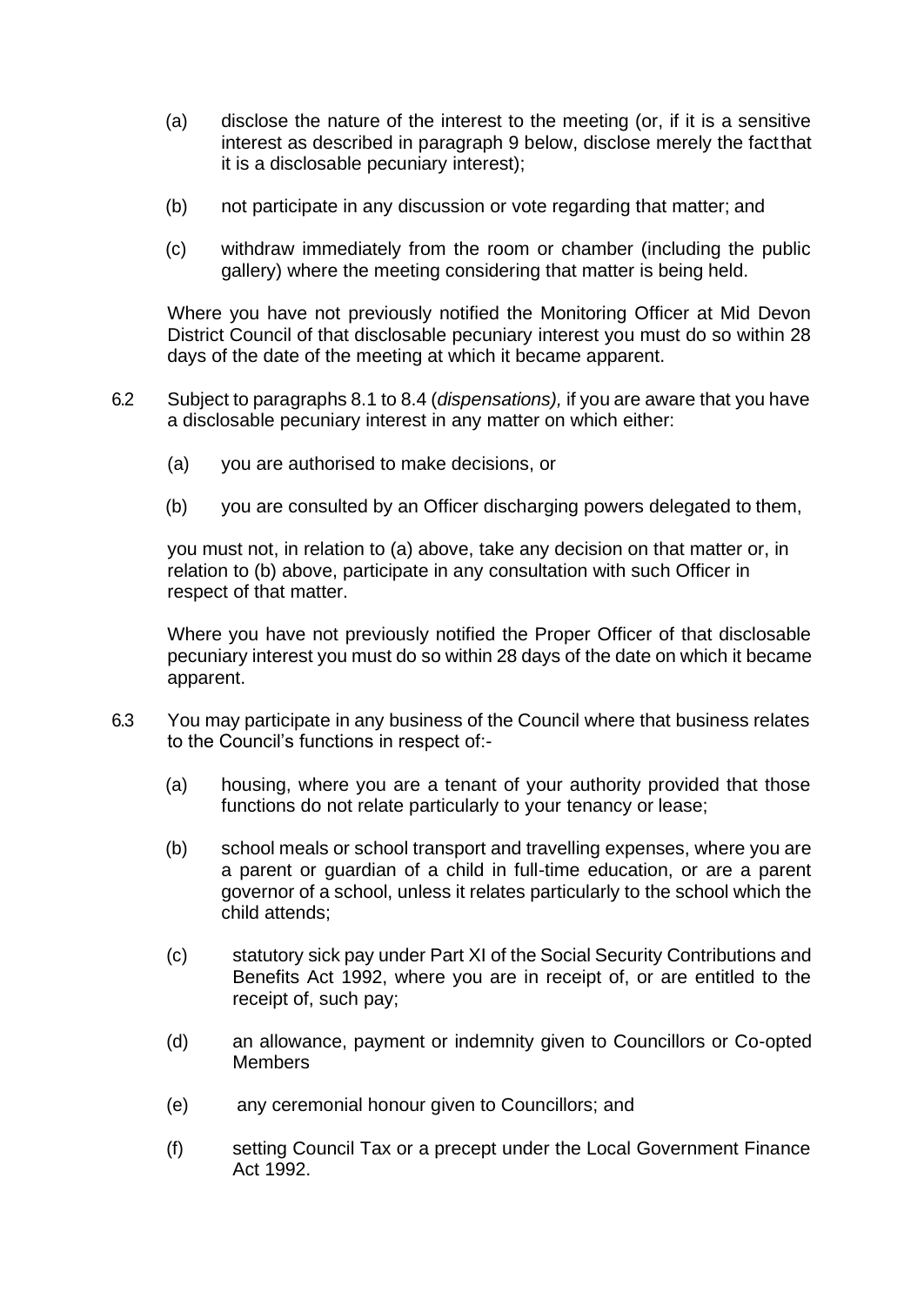- (a) disclose the nature of the interest to the meeting (or, if it is a sensitive interest as described in paragraph 9 below, disclose merely the factthat it is a disclosable pecuniary interest);
- (b) not participate in any discussion or vote regarding that matter; and
- (c) withdraw immediately from the room or chamber (including the public gallery) where the meeting considering that matter is being held.

Where you have not previously notified the Monitoring Officer at Mid Devon District Council of that disclosable pecuniary interest you must do so within 28 days of the date of the meeting at which it became apparent.

- 6.2 Subject to paragraphs 8.1 to 8.4 (*dispensations),* if you are aware that you have a disclosable pecuniary interest in any matter on which either:
	- (a) you are authorised to make decisions, or
	- (b) you are consulted by an Officer discharging powers delegated to them,

you must not, in relation to (a) above, take any decision on that matter or, in relation to (b) above, participate in any consultation with such Officer in respect of that matter.

Where you have not previously notified the Proper Officer of that disclosable pecuniary interest you must do so within 28 days of the date on which it became apparent.

- 6.3 You may participate in any business of the Council where that business relates to the Council's functions in respect of:-
	- (a) housing, where you are a tenant of your authority provided that those functions do not relate particularly to your tenancy or lease;
	- (b) school meals or school transport and travelling expenses, where you are a parent or guardian of a child in full-time education, or are a parent governor of a school, unless it relates particularly to the school which the child attends;
	- (c) statutory sick pay under Part XI of the Social Security Contributions and Benefits Act 1992, where you are in receipt of, or are entitled to the receipt of, such pay;
	- (d) an allowance, payment or indemnity given to Councillors or Co-opted **Members**
	- (e) any ceremonial honour given to Councillors; and
	- (f) setting Council Tax or a precept under the Local Government Finance Act 1992.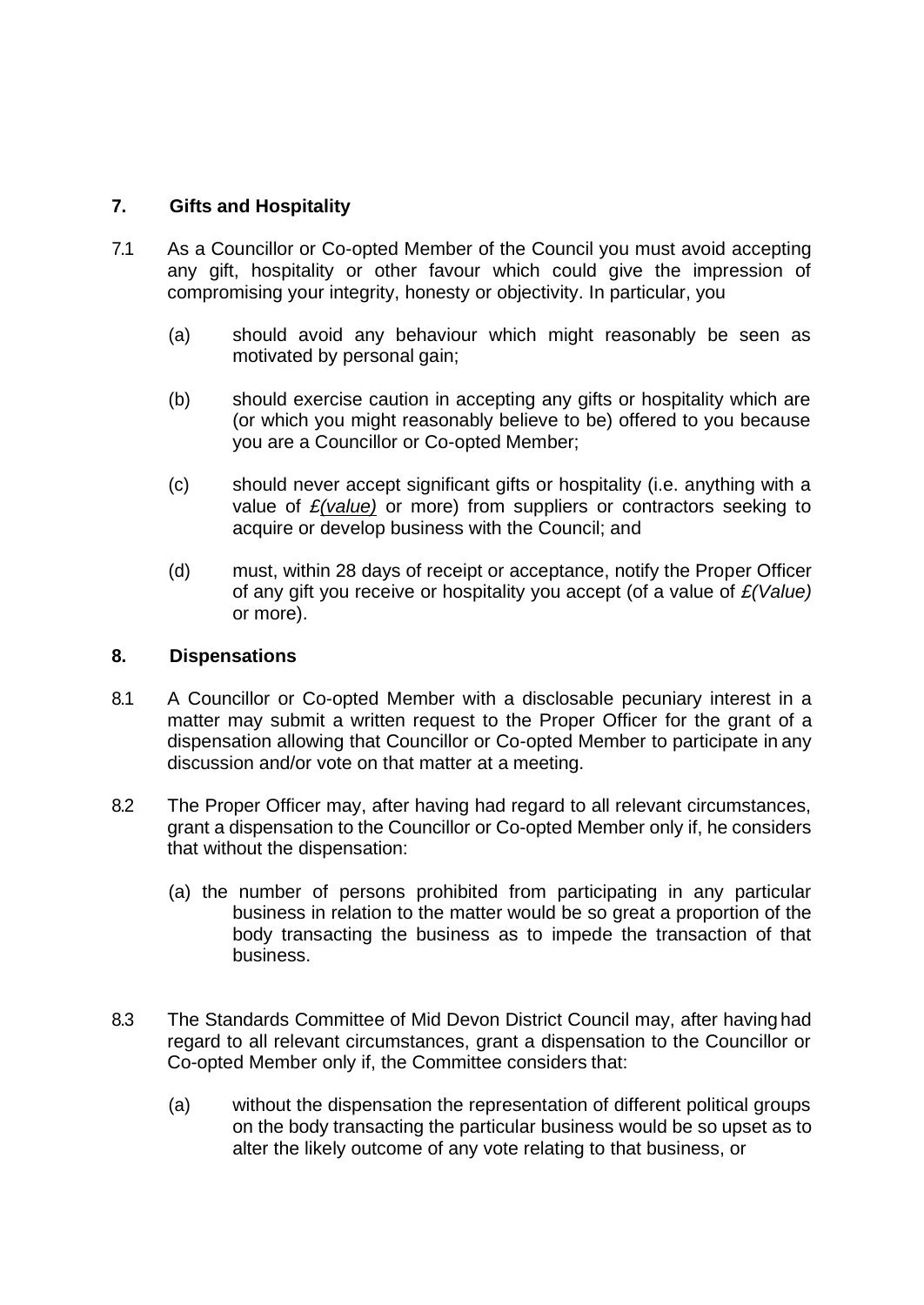#### **7. Gifts and Hospitality**

- 7.1 As a Councillor or Co-opted Member of the Council you must avoid accepting any gift, hospitality or other favour which could give the impression of compromising your integrity, honesty or objectivity. In particular, you
	- (a) should avoid any behaviour which might reasonably be seen as motivated by personal gain;
	- (b) should exercise caution in accepting any gifts or hospitality which are (or which you might reasonably believe to be) offered to you because you are a Councillor or Co-opted Member;
	- (c) should never accept significant gifts or hospitality (i.e. anything with a value of *£(value)* or more) from suppliers or contractors seeking to acquire or develop business with the Council; and
	- (d) must, within 28 days of receipt or acceptance, notify the Proper Officer of any gift you receive or hospitality you accept (of a value of *£(Value)*  or more).

#### **8. Dispensations**

- 8.1 A Councillor or Co-opted Member with a disclosable pecuniary interest in a matter may submit a written request to the Proper Officer for the grant of a dispensation allowing that Councillor or Co-opted Member to participate in any discussion and/or vote on that matter at a meeting.
- 8.2 The Proper Officer may, after having had regard to all relevant circumstances, grant a dispensation to the Councillor or Co-opted Member only if, he considers that without the dispensation:
	- (a) the number of persons prohibited from participating in any particular business in relation to the matter would be so great a proportion of the body transacting the business as to impede the transaction of that business.
- 8.3 The Standards Committee of Mid Devon District Council may, after having had regard to all relevant circumstances, grant a dispensation to the Councillor or Co-opted Member only if, the Committee considers that:
	- (a) without the dispensation the representation of different political groups on the body transacting the particular business would be so upset as to alter the likely outcome of any vote relating to that business, or